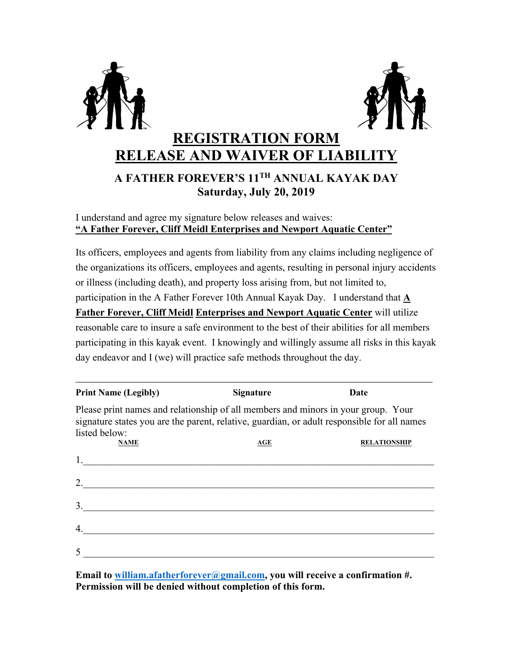



## **REGISTRATION FORM RELEASE AND WAIVER OF LIABILITY**

### **A FATHER FOREVER'S 11TH ANNUAL KAYAK DAY Saturday, July 20, 2019**

#### I understand and agree my signature below releases and waives: **"A Father Forever, Cliff Meidl Enterprises and Newport Aquatic Center"**

Its officers, employees and agents from liability from any claims including negligence of the organizations its officers, employees and agents, resulting in personal injury accidents or illness (including death), and property loss arising from, but not limited to, participation in the A Father Forever 10th Annual Kayak Day. I understand that **A Father Forever, Cliff Meidl Enterprises and Newport Aquatic Center** will utilize reasonable care to insure a safe environment to the best of their abilities for all members participating in this kayak event. I knowingly and willingly assume all risks in this kayak day endeavor and I (we) will practice safe methods throughout the day.

| <b>Print Name (Legibly)</b>                                                                                                                                                                       | <b>Signature</b> | Date                |
|---------------------------------------------------------------------------------------------------------------------------------------------------------------------------------------------------|------------------|---------------------|
| Please print names and relationship of all members and minors in your group. Your<br>signature states you are the parent, relative, guardian, or adult responsible for all names<br>listed below: |                  |                     |
| <b>NAME</b>                                                                                                                                                                                       | AGE              | <b>RELATIONSHIP</b> |
| 1.                                                                                                                                                                                                |                  |                     |
| 2.                                                                                                                                                                                                |                  |                     |
| 3.                                                                                                                                                                                                |                  |                     |
| 4.                                                                                                                                                                                                |                  |                     |
| $\overline{\mathcal{L}}$                                                                                                                                                                          |                  |                     |

**Email to william.afatherforever@gmail.com, you will receive a confirmation #. Permission will be denied without completion of this form.**